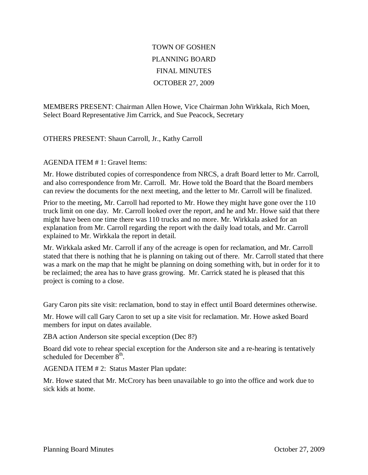## TOWN OF GOSHEN PLANNING BOARD FINAL MINUTES OCTOBER 27, 2009

MEMBERS PRESENT: Chairman Allen Howe, Vice Chairman John Wirkkala, Rich Moen, Select Board Representative Jim Carrick, and Sue Peacock, Secretary

OTHERS PRESENT: Shaun Carroll, Jr., Kathy Carroll

## AGENDA ITEM # 1: Gravel Items:

Mr. Howe distributed copies of correspondence from NRCS, a draft Board letter to Mr. Carroll, and also correspondence from Mr. Carroll. Mr. Howe told the Board that the Board members can review the documents for the next meeting, and the letter to Mr. Carroll will be finalized.

Prior to the meeting, Mr. Carroll had reported to Mr. Howe they might have gone over the 110 truck limit on one day. Mr. Carroll looked over the report, and he and Mr. Howe said that there might have been one time there was 110 trucks and no more. Mr. Wirkkala asked for an explanation from Mr. Carroll regarding the report with the daily load totals, and Mr. Carroll explained to Mr. Wirkkala the report in detail.

Mr. Wirkkala asked Mr. Carroll if any of the acreage is open for reclamation, and Mr. Carroll stated that there is nothing that he is planning on taking out of there. Mr. Carroll stated that there was a mark on the map that he might be planning on doing something with, but in order for it to be reclaimed; the area has to have grass growing. Mr. Carrick stated he is pleased that this project is coming to a close.

Gary Caron pits site visit: reclamation, bond to stay in effect until Board determines otherwise.

Mr. Howe will call Gary Caron to set up a site visit for reclamation. Mr. Howe asked Board members for input on dates available.

ZBA action Anderson site special exception (Dec 8?)

Board did vote to rehear special exception for the Anderson site and a re-hearing is tentatively scheduled for December  $8^{\text{th}}$ .

AGENDA ITEM # 2: Status Master Plan update:

Mr. Howe stated that Mr. McCrory has been unavailable to go into the office and work due to sick kids at home.